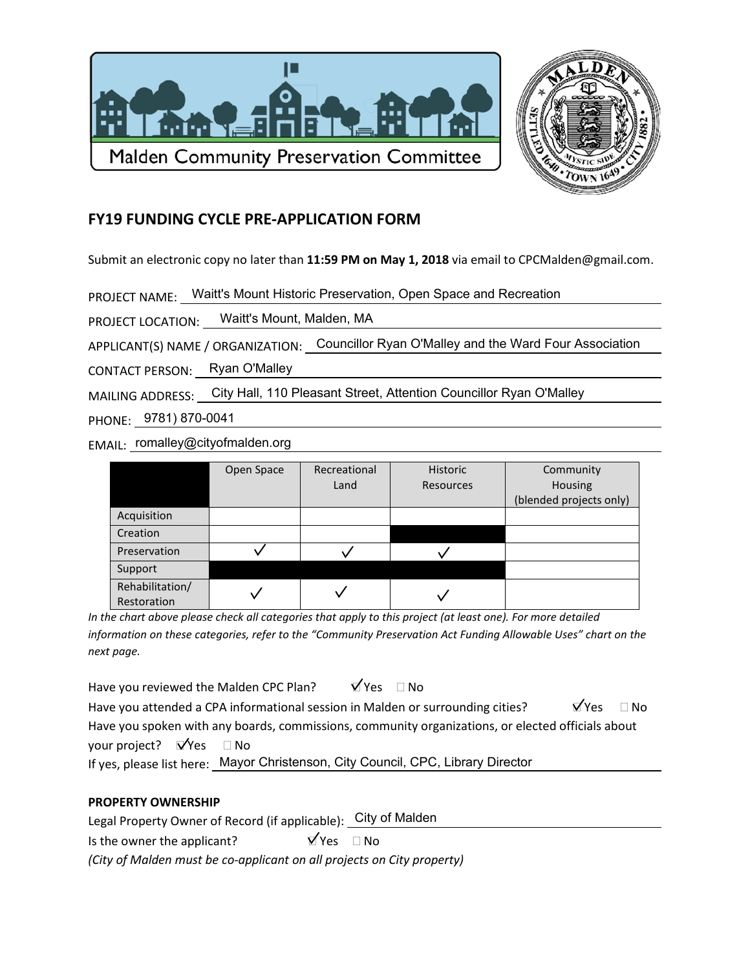



## **FY19 FUNDING CYCLE PRE-APPLICATION FORM**

Submit an electronic copy no later than 11:59 PM on May 1, 2018 via email to CPCMalden@gmail.com.

PROJECT NAME: Waitt's Mount Historic Preservation, Open Space and Recreation

PROJECT LOCATION: Waitt's Mount, Malden, MA

APPLICANT(S) NAME / ORGANIZATION: Councillor Ryan O'Malley and the Ward Four Association

CONTACT PERSON: Ryan O'Malley

MAILING ADDRESS: City Hall, 110 Pleasant Street, Attention Councillor Ryan O'Malley

PHONE: 9781) 870-0041

EMAIL: romalley@cityofmalden.org

|                 | Open Space | Recreational | Historic  | Community               |
|-----------------|------------|--------------|-----------|-------------------------|
|                 |            | Land         | Resources | Housing                 |
|                 |            |              |           | (blended projects only) |
| Acquisition     |            |              |           |                         |
| Creation        |            |              |           |                         |
| Preservation    |            |              |           |                         |
| Support         |            |              |           |                         |
| Rehabilitation/ |            |              |           |                         |
| Restoration     |            |              |           |                         |

In the chart above please check all categories that apply to this project (at least one). For more detailed information on these categories, refer to the "Community Preservation Act Funding Allowable Uses" chart on the next page.

 $\forall$  Yes  $\Box$  No Have you reviewed the Malden CPC Plan? Have you attended a CPA informational session in Malden or surrounding cities? **NYPS**  $\Box$  No Have you spoken with any boards, commissions, community organizations, or elected officials about your project?  $\mathbf{\nabla}'$ Yes  $\Box$  No

If yes, please list here: Mayor Christenson, City Council, CPC, Library Director

## **PROPERTY OWNERSHIP**

Legal Property Owner of Record (if applicable): City of Malden  $\overline{Y}$ Yes  $\Box$  No Is the owner the applicant? (City of Malden must be co-applicant on all projects on City property)